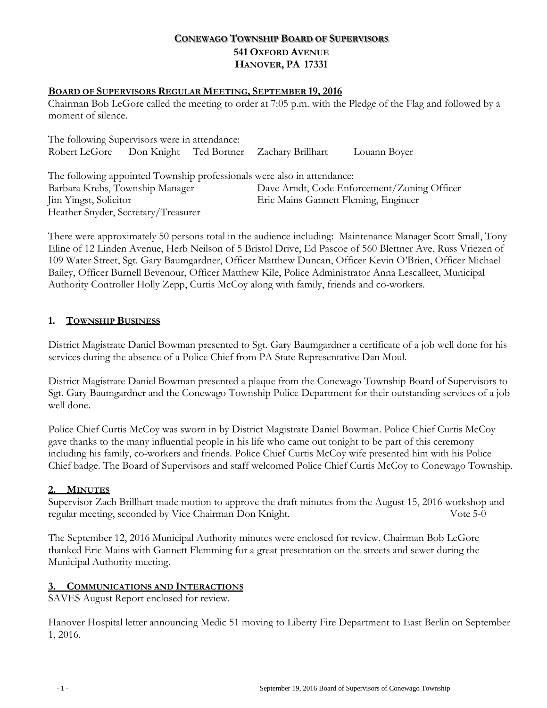# **CONEWAGO TOWNSHIP BOARD OF SUPERVISORS 541 OXFORD AVENUE HANOVER, PA 17331**

#### **BOARD OF SUPERVISORS REGULAR MEETING, SEPTEMBER 19, 2016**

Chairman Bob LeGore called the meeting to order at 7:05 p.m. with the Pledge of the Flag and followed by a moment of silence.

| The following Supervisors were in attendance: |  |  |                                                                         |              |
|-----------------------------------------------|--|--|-------------------------------------------------------------------------|--------------|
|                                               |  |  | Robert LeGore Don Knight Ted Bortner Zachary Brillhart                  | Louann Boyer |
|                                               |  |  | The following appointed Township professionals were also in attendance: |              |
| Barbara Krebs, Township Manager               |  |  | Dave Arndt, Code Enforcement/Zoning Officer                             |              |
| Jim Yingst, Solicitor                         |  |  | Eric Mains Gannett Fleming, Engineer                                    |              |
| Heather Snyder, Secretary/Treasurer           |  |  |                                                                         |              |

There were approximately 50 persons total in the audience including: Maintenance Manager Scott Small, Tony Eline of 12 Linden Avenue, Herb Neilson of 5 Bristol Drive, Ed Pascoe of 560 Blettner Ave, Russ Vriezen of 109 Water Street, Sgt. Gary Baumgardner, Officer Matthew Duncan, Officer Kevin O'Brien, Officer Michael Bailey, Officer Burnell Bevenour, Officer Matthew Kile, Police Administrator Anna Lescalleet, Municipal Authority Controller Holly Zepp, Curtis McCoy along with family, friends and co-workers.

#### **1. TOWNSHIP BUSINESS**

District Magistrate Daniel Bowman presented to Sgt. Gary Baumgardner a certificate of a job well done for his services during the absence of a Police Chief from PA State Representative Dan Moul.

District Magistrate Daniel Bowman presented a plaque from the Conewago Township Board of Supervisors to Sgt. Gary Baumgardner and the Conewago Township Police Department for their outstanding services of a job well done.

Police Chief Curtis McCoy was sworn in by District Magistrate Daniel Bowman. Police Chief Curtis McCoy gave thanks to the many influential people in his life who came out tonight to be part of this ceremony including his family, co-workers and friends. Police Chief Curtis McCoy wife presented him with his Police Chief badge. The Board of Supervisors and staff welcomed Police Chief Curtis McCoy to Conewago Township.

#### **2. MINUTES**

Supervisor Zach Brillhart made motion to approve the draft minutes from the August 15, 2016 workshop and regular meeting, seconded by Vice Chairman Don Knight. Vote 5-0

The September 12, 2016 Municipal Authority minutes were enclosed for review. Chairman Bob LeGore thanked Eric Mains with Gannett Flemming for a great presentation on the streets and sewer during the Municipal Authority meeting.

#### **3. COMMUNICATIONS AND INTERACTIONS**

SAVES August Report enclosed for review.

Hanover Hospital letter announcing Medic 51 moving to Liberty Fire Department to East Berlin on September 1, 2016.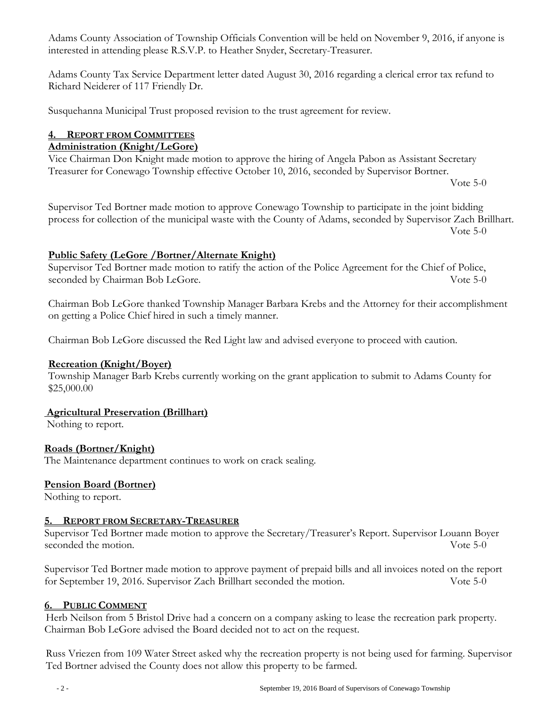Adams County Association of Township Officials Convention will be held on November 9, 2016, if anyone is interested in attending please R.S.V.P. to Heather Snyder, Secretary-Treasurer.

Adams County Tax Service Department letter dated August 30, 2016 regarding a clerical error tax refund to Richard Neiderer of 117 Friendly Dr.

Susquehanna Municipal Trust proposed revision to the trust agreement for review.

### **4. REPORT FROM COMMITTEES**

#### **Administration (Knight/LeGore)**

Vice Chairman Don Knight made motion to approve the hiring of Angela Pabon as Assistant Secretary Treasurer for Conewago Township effective October 10, 2016, seconded by Supervisor Bortner.

Vote 5-0

Supervisor Ted Bortner made motion to approve Conewago Township to participate in the joint bidding process for collection of the municipal waste with the County of Adams, seconded by Supervisor Zach Brillhart. Vote 5-0

### **Public Safety (LeGore /Bortner/Alternate Knight)**

Supervisor Ted Bortner made motion to ratify the action of the Police Agreement for the Chief of Police, seconded by Chairman Bob LeGore. Vote 5-0

Chairman Bob LeGore thanked Township Manager Barbara Krebs and the Attorney for their accomplishment on getting a Police Chief hired in such a timely manner.

Chairman Bob LeGore discussed the Red Light law and advised everyone to proceed with caution.

#### **Recreation (Knight/Boyer)**

Township Manager Barb Krebs currently working on the grant application to submit to Adams County for \$25,000.00

#### **Agricultural Preservation (Brillhart)**

Nothing to report.

## **Roads (Bortner/Knight)**

The Maintenance department continues to work on crack sealing.

#### **Pension Board (Bortner)**

Nothing to report.

#### **5. REPORT FROM SECRETARY-TREASURER**

Supervisor Ted Bortner made motion to approve the Secretary/Treasurer's Report. Supervisor Louann Boyer seconded the motion. Vote 5-0

Supervisor Ted Bortner made motion to approve payment of prepaid bills and all invoices noted on the report for September 19, 2016. Supervisor Zach Brillhart seconded the motion. Vote 5-0

#### **6. PUBLIC COMMENT**

Herb Neilson from 5 Bristol Drive had a concern on a company asking to lease the recreation park property. Chairman Bob LeGore advised the Board decided not to act on the request.

Russ Vriezen from 109 Water Street asked why the recreation property is not being used for farming. Supervisor Ted Bortner advised the County does not allow this property to be farmed.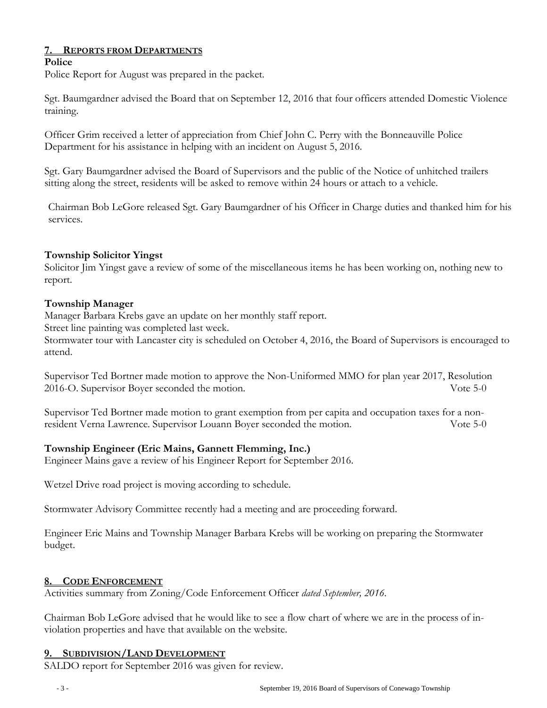## **7. REPORTS FROM DEPARTMENTS**

#### **Police**

Police Report for August was prepared in the packet.

Sgt. Baumgardner advised the Board that on September 12, 2016 that four officers attended Domestic Violence training.

Officer Grim received a letter of appreciation from Chief John C. Perry with the Bonneauville Police Department for his assistance in helping with an incident on August 5, 2016.

Sgt. Gary Baumgardner advised the Board of Supervisors and the public of the Notice of unhitched trailers sitting along the street, residents will be asked to remove within 24 hours or attach to a vehicle.

Chairman Bob LeGore released Sgt. Gary Baumgardner of his Officer in Charge duties and thanked him for his services.

### **Township Solicitor Yingst**

Solicitor Jim Yingst gave a review of some of the miscellaneous items he has been working on, nothing new to report.

### **Township Manager**

Manager Barbara Krebs gave an update on her monthly staff report.

Street line painting was completed last week.

Stormwater tour with Lancaster city is scheduled on October 4, 2016, the Board of Supervisors is encouraged to attend.

Supervisor Ted Bortner made motion to approve the Non-Uniformed MMO for plan year 2017, Resolution 2016-O. Supervisor Boyer seconded the motion. Vote 5-0

Supervisor Ted Bortner made motion to grant exemption from per capita and occupation taxes for a nonresident Verna Lawrence. Supervisor Louann Boyer seconded the motion. Vote 5-0

## **Township Engineer (Eric Mains, Gannett Flemming, Inc.)**

Engineer Mains gave a review of his Engineer Report for September 2016.

Wetzel Drive road project is moving according to schedule.

Stormwater Advisory Committee recently had a meeting and are proceeding forward.

Engineer Eric Mains and Township Manager Barbara Krebs will be working on preparing the Stormwater budget.

#### **8. CODE ENFORCEMENT**

Activities summary from Zoning/Code Enforcement Officer *dated September, 2016*.

Chairman Bob LeGore advised that he would like to see a flow chart of where we are in the process of inviolation properties and have that available on the website.

## **9. SUBDIVISION/LAND DEVELOPMENT**

SALDO report for September 2016 was given for review.